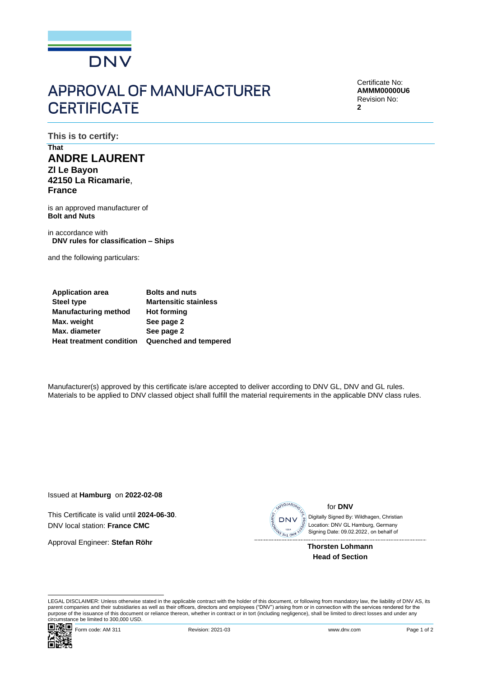

# **APPROVAL OF MANUFACTURER CERTIFICATE**

Certificate No: **AMMM00000U6** Revision No: **2**

**This is to certify:**

## **That ANDRE LAURENT Zl Le Bayon 42150 La Ricamarie**, **France**

is an approved manufacturer of **Bolt and Nuts**

in accordance with **DNV rules for classification – Ships**

and the following particulars:

| <b>Application area</b>         | <b>Bolts and nuts</b>        |  |
|---------------------------------|------------------------------|--|
| <b>Steel type</b>               | <b>Martensitic stainless</b> |  |
| <b>Manufacturing method</b>     | <b>Hot forming</b>           |  |
| Max. weight                     | See page 2                   |  |
| Max. diameter                   | See page 2                   |  |
| <b>Heat treatment condition</b> | Quenched and tempered        |  |

Manufacturer(s) approved by this certificate is/are accepted to deliver according to DNV GL, DNV and GL rules. Materials to be applied to DNV classed object shall fulfill the material requirements in the applicable DNV class rules.

Issued at **Hamburg** on **2022-02-08**

This Certificate is valid until **2024-06-30**. DNV local station: **France CMC**

Approval Engineer: **Stefan Röhr**



#### for **DNV**

 Signing Date: 09.02.2022 , on behalf ofDigitally Signed By: Wildhagen, Christian Location: DNV GL Hamburg, Germany

**Thorsten Lohmann Head of Section**

LEGAL DISCLAIMER: Unless otherwise stated in the applicable contract with the holder of this document, or following from mandatory law, the liability of DNV AS, its parent companies and their subsidiaries as well as their officers, directors and employees ("DNV") arising from or in connection with the services rendered for the purpose of the issuance of this document or reliance thereon, whether in contract or in tort (including negligence), shall be limited to direct losses and under any circumstance be limited to 300,000 USD.